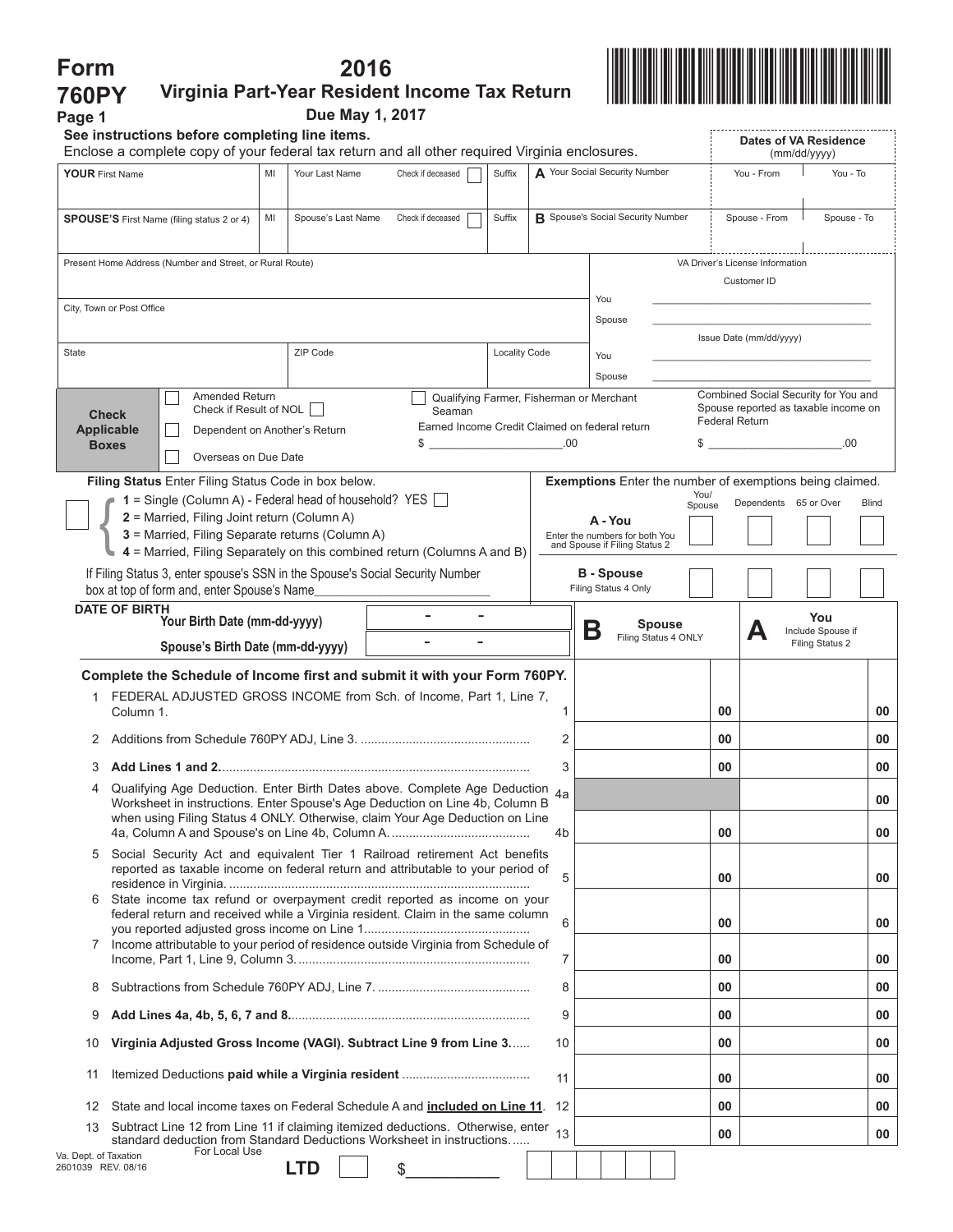| Form                                                                                                                                                                                                                                              |                                                                                                                                                                    |            |                                         | 2016 |                                                                                                                                                                                                          |                                          |                                          |   |                                           |                               |               |                                              |                       |                                                                              |             |                                      |          |    |
|---------------------------------------------------------------------------------------------------------------------------------------------------------------------------------------------------------------------------------------------------|--------------------------------------------------------------------------------------------------------------------------------------------------------------------|------------|-----------------------------------------|------|----------------------------------------------------------------------------------------------------------------------------------------------------------------------------------------------------------|------------------------------------------|------------------------------------------|---|-------------------------------------------|-------------------------------|---------------|----------------------------------------------|-----------------------|------------------------------------------------------------------------------|-------------|--------------------------------------|----------|----|
| <b>760PY</b>                                                                                                                                                                                                                                      | Virginia Part-Year Resident Income Tax Return                                                                                                                      |            |                                         |      |                                                                                                                                                                                                          |                                          |                                          |   |                                           |                               |               |                                              |                       |                                                                              |             |                                      |          |    |
| Page 1                                                                                                                                                                                                                                            | See instructions before completing line items.                                                                                                                     |            | Due May 1, 2017                         |      |                                                                                                                                                                                                          |                                          |                                          |   |                                           |                               |               |                                              |                       |                                                                              |             |                                      |          |    |
| Enclose a complete copy of your federal tax return and all other required Virginia enclosures.                                                                                                                                                    |                                                                                                                                                                    |            |                                         |      |                                                                                                                                                                                                          |                                          |                                          |   |                                           |                               |               | <b>Dates of VA Residence</b><br>(mm/dd/yyyy) |                       |                                                                              |             |                                      |          |    |
| <b>YOUR First Name</b>                                                                                                                                                                                                                            |                                                                                                                                                                    | MI         | Your Last Name<br>Check if deceased     |      |                                                                                                                                                                                                          |                                          | Suffix                                   |   |                                           | A Your Social Security Number |               |                                              |                       | You - From                                                                   |             |                                      | You - To |    |
| <b>SPOUSE'S</b> First Name (filing status 2 or 4)<br>MI                                                                                                                                                                                           |                                                                                                                                                                    |            | Spouse's Last Name<br>Check if deceased |      |                                                                                                                                                                                                          | Suffix                                   | <b>B</b> Spouse's Social Security Number |   |                                           |                               |               | Spouse - From                                |                       |                                                                              | Spouse - To |                                      |          |    |
|                                                                                                                                                                                                                                                   | Present Home Address (Number and Street, or Rural Route)                                                                                                           |            |                                         |      |                                                                                                                                                                                                          |                                          |                                          |   |                                           |                               |               |                                              |                       | VA Driver's License Information<br>Customer ID                               |             |                                      |          |    |
|                                                                                                                                                                                                                                                   | City, Town or Post Office                                                                                                                                          |            |                                         |      |                                                                                                                                                                                                          |                                          |                                          |   | You<br>Spouse                             |                               |               |                                              |                       |                                                                              |             |                                      |          |    |
| State                                                                                                                                                                                                                                             |                                                                                                                                                                    | ZIP Code   |                                         |      |                                                                                                                                                                                                          | <b>Locality Code</b>                     |                                          |   | You                                       |                               |               |                                              |                       | Issue Date (mm/dd/yyyy)                                                      |             |                                      |          |    |
|                                                                                                                                                                                                                                                   |                                                                                                                                                                    |            |                                         |      |                                                                                                                                                                                                          |                                          |                                          |   | Spouse                                    |                               |               |                                              |                       |                                                                              |             |                                      |          |    |
|                                                                                                                                                                                                                                                   | Amended Return<br>Check if Result of NOL  <br><b>Check</b><br><b>Applicable</b><br>Dependent on Another's Return<br><b>Boxes</b><br>Overseas on Due Date           |            |                                         |      | Seaman<br>Earned Income Credit Claimed on federal return<br>\$                                                                                                                                           | Qualifying Farmer, Fisherman or Merchant | .00                                      |   |                                           |                               |               |                                              | <b>Federal Return</b> | Combined Social Security for You and<br>Spouse reported as taxable income on |             |                                      | .00      |    |
| Filing Status Enter Filing Status Code in box below.<br>$1 =$ Single (Column A) - Federal head of household? YES<br>2 = Married, Filing Joint return (Column A)<br>3 = Married, Filing Separate returns (Column A)                                |                                                                                                                                                                    |            |                                         |      | <b>Exemptions</b> Enter the number of exemptions being claimed.<br>You/<br>Dependents 65 or Over<br><b>Blind</b><br>Spouse<br>A - You<br>Enter the numbers for both You<br>and Spouse if Filing Status 2 |                                          |                                          |   |                                           |                               |               |                                              |                       |                                                                              |             |                                      |          |    |
|                                                                                                                                                                                                                                                   | 4 = Married, Filing Separately on this combined return (Columns A and B)                                                                                           |            |                                         |      |                                                                                                                                                                                                          |                                          |                                          |   |                                           |                               |               |                                              |                       |                                                                              |             |                                      |          |    |
|                                                                                                                                                                                                                                                   | If Filing Status 3, enter spouse's SSN in the Spouse's Social Security Number<br>box at top of form and, enter Spouse's Name                                       |            |                                         |      |                                                                                                                                                                                                          |                                          |                                          |   | <b>B</b> - Spouse<br>Filing Status 4 Only |                               |               |                                              |                       |                                                                              |             |                                      |          |    |
|                                                                                                                                                                                                                                                   | <b>DATE OF BIRTH</b><br>Your Birth Date (mm-dd-yyyy)                                                                                                               |            |                                         |      |                                                                                                                                                                                                          |                                          |                                          |   |                                           |                               | <b>Spouse</b> |                                              |                       |                                                                              |             | You                                  |          |    |
|                                                                                                                                                                                                                                                   | Spouse's Birth Date (mm-dd-yyyy)                                                                                                                                   |            |                                         |      |                                                                                                                                                                                                          |                                          |                                          | Β |                                           | Filing Status 4 ONLY          |               |                                              |                       | Д                                                                            |             | Include Spouse if<br>Filing Status 2 |          |    |
|                                                                                                                                                                                                                                                   | Complete the Schedule of Income first and submit it with your Form 760PY.                                                                                          |            |                                         |      |                                                                                                                                                                                                          |                                          |                                          |   |                                           |                               |               |                                              |                       |                                                                              |             |                                      |          |    |
|                                                                                                                                                                                                                                                   | 1 FEDERAL ADJUSTED GROSS INCOME from Sch. of Income, Part 1, Line 7,<br>Column 1.                                                                                  |            |                                         |      |                                                                                                                                                                                                          |                                          | 1                                        |   |                                           |                               |               |                                              | 00                    |                                                                              |             |                                      |          | 00 |
|                                                                                                                                                                                                                                                   |                                                                                                                                                                    |            |                                         | 2    |                                                                                                                                                                                                          |                                          |                                          |   |                                           | 00                            |               |                                              |                       |                                                                              | 00          |                                      |          |    |
| 3                                                                                                                                                                                                                                                 |                                                                                                                                                                    |            |                                         |      |                                                                                                                                                                                                          | 3                                        |                                          |   |                                           |                               |               | 00                                           |                       |                                                                              |             |                                      | 00       |    |
| Qualifying Age Deduction. Enter Birth Dates above. Complete Age Deduction 4a<br>4<br>Worksheet in instructions. Enter Spouse's Age Deduction on Line 4b, Column B<br>when using Filing Status 4 ONLY. Otherwise, claim Your Age Deduction on Line |                                                                                                                                                                    |            |                                         |      |                                                                                                                                                                                                          |                                          |                                          |   |                                           |                               |               |                                              |                       |                                                                              |             |                                      | 00       |    |
|                                                                                                                                                                                                                                                   |                                                                                                                                                                    |            |                                         |      |                                                                                                                                                                                                          |                                          | 4b                                       |   |                                           |                               |               |                                              | 00                    |                                                                              |             |                                      |          | 00 |
|                                                                                                                                                                                                                                                   | Social Security Act and equivalent Tier 1 Railroad retirement Act benefits<br>5<br>reported as taxable income on federal return and attributable to your period of |            |                                         |      |                                                                                                                                                                                                          | 5                                        |                                          |   |                                           |                               |               | 00                                           |                       |                                                                              |             |                                      | 00       |    |
|                                                                                                                                                                                                                                                   | State income tax refund or overpayment credit reported as income on your<br>6<br>federal return and received while a Virginia resident. Claim in the same column   |            |                                         |      |                                                                                                                                                                                                          | 6                                        |                                          |   |                                           |                               |               | 00                                           |                       |                                                                              |             |                                      | 00       |    |
| 7                                                                                                                                                                                                                                                 | Income attributable to your period of residence outside Virginia from Schedule of                                                                                  |            |                                         |      |                                                                                                                                                                                                          |                                          | 7                                        |   |                                           |                               |               |                                              | 00                    |                                                                              |             |                                      |          | 00 |
| 8                                                                                                                                                                                                                                                 |                                                                                                                                                                    |            |                                         |      |                                                                                                                                                                                                          |                                          | 8                                        |   |                                           |                               |               |                                              | 00                    |                                                                              |             |                                      |          | 00 |
| 9                                                                                                                                                                                                                                                 |                                                                                                                                                                    |            |                                         |      |                                                                                                                                                                                                          |                                          | 9                                        |   |                                           |                               |               |                                              | 00                    |                                                                              |             |                                      |          | 00 |
| Virginia Adjusted Gross Income (VAGI). Subtract Line 9 from Line 3<br>10                                                                                                                                                                          |                                                                                                                                                                    |            |                                         |      |                                                                                                                                                                                                          | 10                                       |                                          |   |                                           |                               |               | 00                                           |                       |                                                                              |             |                                      | 00       |    |
| 11                                                                                                                                                                                                                                                |                                                                                                                                                                    |            |                                         |      |                                                                                                                                                                                                          | 11                                       |                                          |   |                                           |                               |               | 00                                           |                       |                                                                              |             |                                      | 00       |    |
| 12<br>State and local income taxes on Federal Schedule A and <b>included on Line 11</b> .                                                                                                                                                         |                                                                                                                                                                    |            |                                         |      | 12                                                                                                                                                                                                       |                                          |                                          |   |                                           |                               | 00            |                                              |                       |                                                                              |             | 00                                   |          |    |
| Subtract Line 12 from Line 11 if claiming itemized deductions. Otherwise, enter<br>13<br>standard deduction from Standard Deductions Worksheet in instructions<br>For Local Use                                                                   |                                                                                                                                                                    |            |                                         |      | 13                                                                                                                                                                                                       |                                          |                                          |   |                                           |                               | 00            |                                              |                       |                                                                              |             | 00                                   |          |    |
| Va. Dept. of Taxation<br>2601039 REV. 08/16                                                                                                                                                                                                       |                                                                                                                                                                    | <b>LTD</b> |                                         | \$   |                                                                                                                                                                                                          |                                          |                                          |   |                                           |                               |               |                                              |                       |                                                                              |             |                                      |          |    |